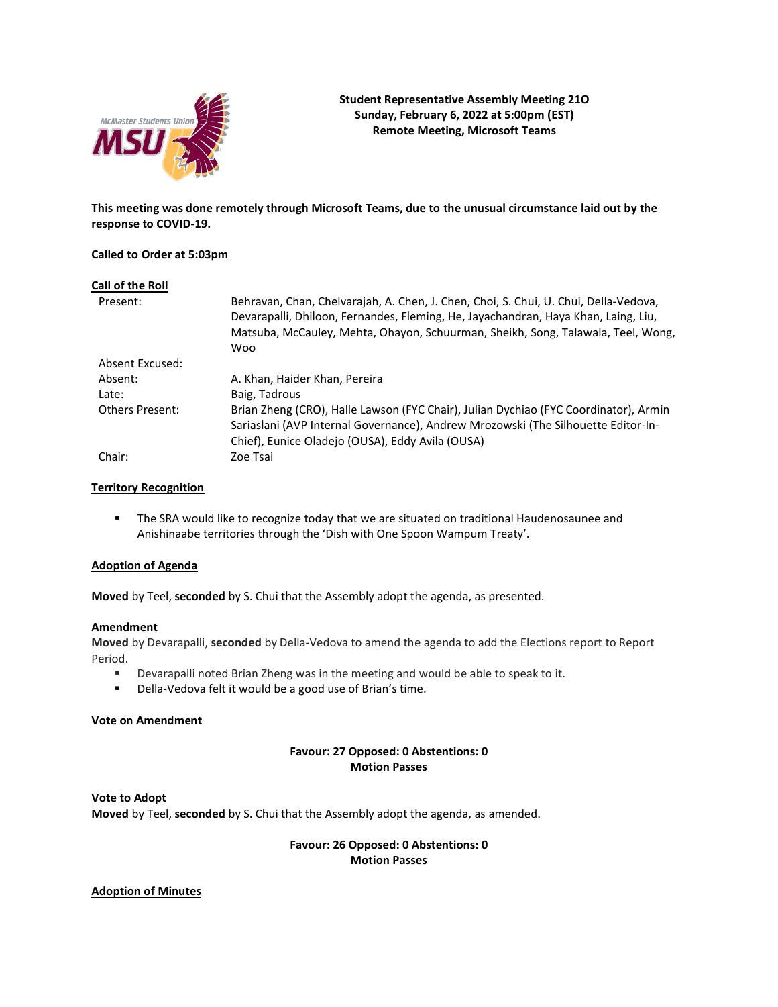

**This meeting was done remotely through Microsoft Teams, due to the unusual circumstance laid out by the response to COVID-19.**

### **Called to Order at 5:03pm**

| Call of the Roll       |                                                                                                                                                                                                                                                                              |
|------------------------|------------------------------------------------------------------------------------------------------------------------------------------------------------------------------------------------------------------------------------------------------------------------------|
| Present:               | Behravan, Chan, Chelvarajah, A. Chen, J. Chen, Choi, S. Chui, U. Chui, Della-Vedova,<br>Devarapalli, Dhiloon, Fernandes, Fleming, He, Jayachandran, Haya Khan, Laing, Liu,<br>Matsuba, McCauley, Mehta, Ohayon, Schuurman, Sheikh, Song, Talawala, Teel, Wong,<br><b>Woo</b> |
| Absent Excused:        |                                                                                                                                                                                                                                                                              |
| Absent:                | A. Khan, Haider Khan, Pereira                                                                                                                                                                                                                                                |
| Late:                  | Baig, Tadrous                                                                                                                                                                                                                                                                |
| <b>Others Present:</b> | Brian Zheng (CRO), Halle Lawson (FYC Chair), Julian Dychiao (FYC Coordinator), Armin<br>Sariaslani (AVP Internal Governance), Andrew Mrozowski (The Silhouette Editor-In-<br>Chief), Eunice Oladejo (OUSA), Eddy Avila (OUSA)                                                |
| Chair:                 | Zoe Tsai                                                                                                                                                                                                                                                                     |

# **Territory Recognition**

■ The SRA would like to recognize today that we are situated on traditional Haudenosaunee and Anishinaabe territories through the 'Dish with One Spoon Wampum Treaty'.

# **Adoption of Agenda**

**Moved** by Teel, **seconded** by S. Chui that the Assembly adopt the agenda, as presented.

### **Amendment**

**Moved** by Devarapalli, **seconded** by Della-Vedova to amend the agenda to add the Elections report to Report Period.

- **•** Devarapalli noted Brian Zheng was in the meeting and would be able to speak to it.
- Della-Vedova felt it would be a good use of Brian's time.

# **Vote on Amendment**

# **Favour: 27 Opposed: 0 Abstentions: 0 Motion Passes**

**Vote to Adopt Moved** by Teel, **seconded** by S. Chui that the Assembly adopt the agenda, as amended.

> **Favour: 26 Opposed: 0 Abstentions: 0 Motion Passes**

### **Adoption of Minutes**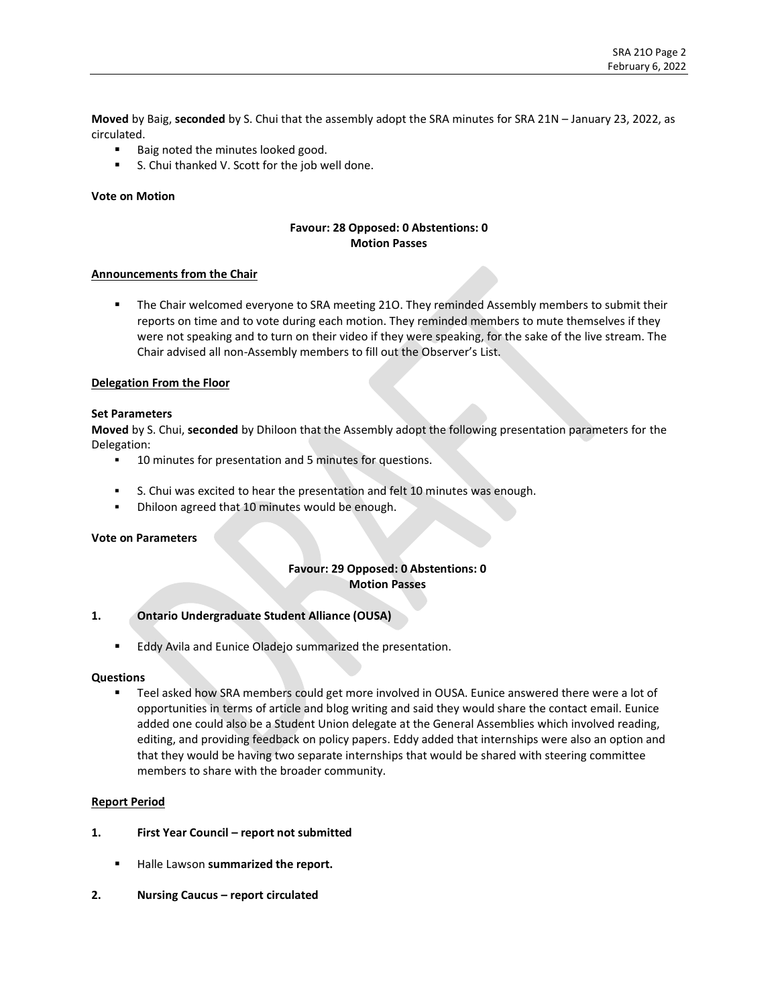**Moved** by Baig, **seconded** by S. Chui that the assembly adopt the SRA minutes for SRA 21N – January 23, 2022, as circulated.

- Baig noted the minutes looked good.
- S. Chui thanked V. Scott for the job well done.

### **Vote on Motion**

# **Favour: 28 Opposed: 0 Abstentions: 0 Motion Passes**

#### **Announcements from the Chair**

**• The Chair welcomed everyone to SRA meeting 210. They reminded Assembly members to submit their** reports on time and to vote during each motion. They reminded members to mute themselves if they were not speaking and to turn on their video if they were speaking, for the sake of the live stream. The Chair advised all non-Assembly members to fill out the Observer's List.

#### **Delegation From the Floor**

#### **Set Parameters**

**Moved** by S. Chui, **seconded** by Dhiloon that the Assembly adopt the following presentation parameters for the Delegation:

- **■** 10 minutes for presentation and 5 minutes for questions.
- S. Chui was excited to hear the presentation and felt 10 minutes was enough.
- Dhiloon agreed that 10 minutes would be enough.

### **Vote on Parameters**

# **Favour: 29 Opposed: 0 Abstentions: 0 Motion Passes**

### **1. Ontario Undergraduate Student Alliance (OUSA)**

■ Eddy Avila and Eunice Oladejo summarized the presentation.

#### **Questions**

■ Teel asked how SRA members could get more involved in OUSA. Eunice answered there were a lot of opportunities in terms of article and blog writing and said they would share the contact email. Eunice added one could also be a Student Union delegate at the General Assemblies which involved reading, editing, and providing feedback on policy papers. Eddy added that internships were also an option and that they would be having two separate internships that would be shared with steering committee members to share with the broader community.

#### **Report Period**

- **1. First Year Council – report not submitted**
	- Halle Lawson **summarized the report.**
- **2. Nursing Caucus – report circulated**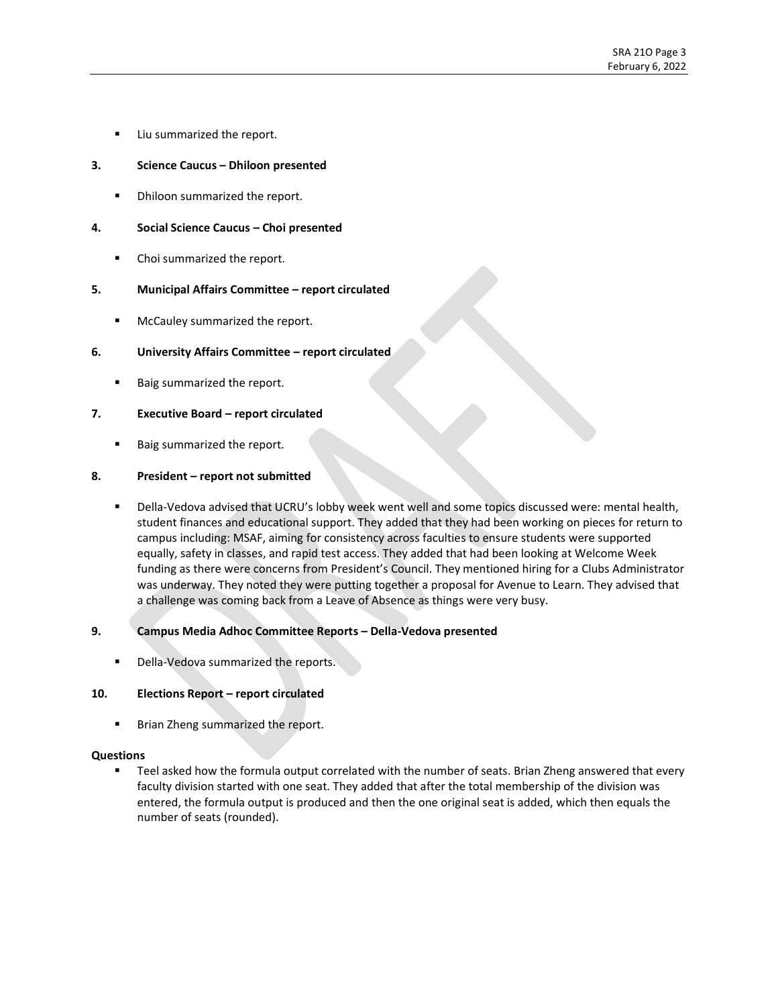Liu summarized the report.

# **3. Science Caucus – Dhiloon presented**

**•** Dhiloon summarized the report.

### **4. Social Science Caucus – Choi presented**

■ Choi summarized the report.

# **5. Municipal Affairs Committee – report circulated**

■ McCauley summarized the report.

# **6. University Affairs Committee – report circulated**

Baig summarized the report.

# **7. Executive Board – report circulated**

■ Baig summarized the report.

# **8. President – report not submitted**

Della-Vedova advised that UCRU's lobby week went well and some topics discussed were: mental health, student finances and educational support. They added that they had been working on pieces for return to campus including: MSAF, aiming for consistency across faculties to ensure students were supported equally, safety in classes, and rapid test access. They added that had been looking at Welcome Week funding as there were concerns from President's Council. They mentioned hiring for a Clubs Administrator was underway. They noted they were putting together a proposal for Avenue to Learn. They advised that a challenge was coming back from a Leave of Absence as things were very busy.

### **9. Campus Media Adhoc Committee Reports – Della-Vedova presented**

Della-Vedova summarized the reports.

### **10. Elections Report – report circulated**

**■** Brian Zheng summarized the report.

### **Questions**

■ Teel asked how the formula output correlated with the number of seats. Brian Zheng answered that every faculty division started with one seat. They added that after the total membership of the division was entered, the formula output is produced and then the one original seat is added, which then equals the number of seats (rounded).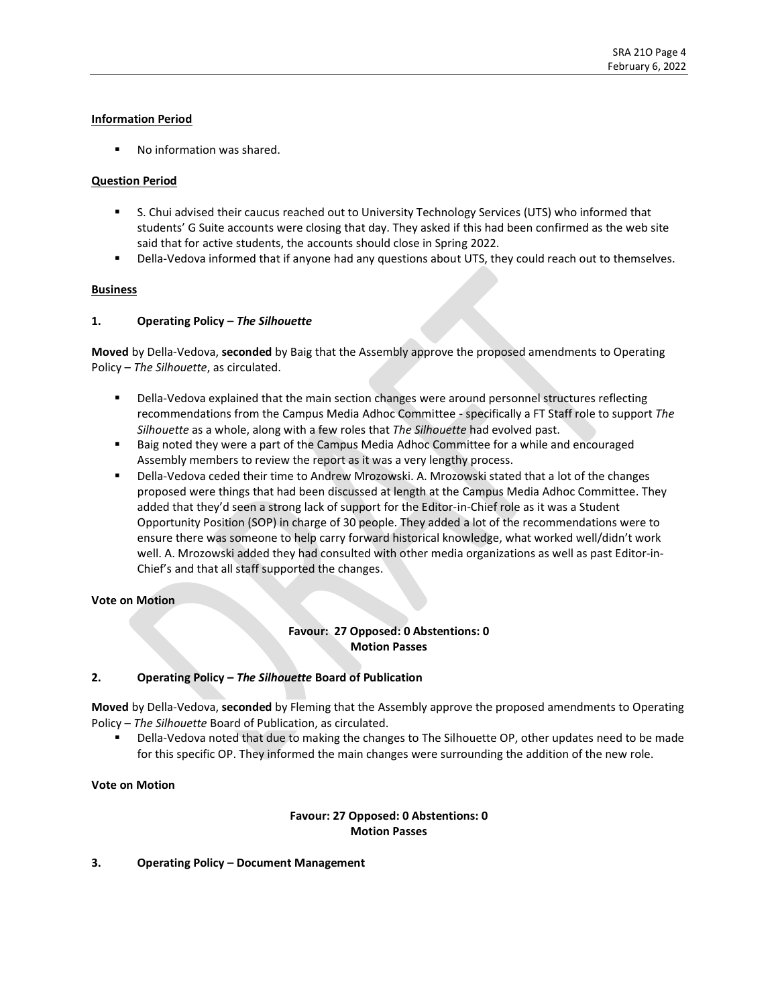# **Information Period**

■ No information was shared.

# **Question Period**

- S. Chui advised their caucus reached out to University Technology Services (UTS) who informed that students' G Suite accounts were closing that day. They asked if this had been confirmed as the web site said that for active students, the accounts should close in Spring 2022.
- **■** Della-Vedova informed that if anyone had any questions about UTS, they could reach out to themselves.

# **Business**

# **1. Operating Policy –** *The Silhouette*

**Moved** by Della-Vedova, **seconded** by Baig that the Assembly approve the proposed amendments to Operating Policy – *The Silhouette*, as circulated.

- Della-Vedova explained that the main section changes were around personnel structures reflecting recommendations from the Campus Media Adhoc Committee - specifically a FT Staff role to support *The Silhouette* as a whole, along with a few roles that *The Silhouette* had evolved past.
- Baig noted they were a part of the Campus Media Adhoc Committee for a while and encouraged Assembly members to review the report as it was a very lengthy process.
- Della-Vedova ceded their time to Andrew Mrozowski. A. Mrozowski stated that a lot of the changes proposed were things that had been discussed at length at the Campus Media Adhoc Committee. They added that they'd seen a strong lack of support for the Editor-in-Chief role as it was a Student Opportunity Position (SOP) in charge of 30 people. They added a lot of the recommendations were to ensure there was someone to help carry forward historical knowledge, what worked well/didn't work well. A. Mrozowski added they had consulted with other media organizations as well as past Editor-in-Chief's and that all staff supported the changes.

### **Vote on Motion**

# **Favour: 27 Opposed: 0 Abstentions: 0 Motion Passes**

# **2. Operating Policy –** *The Silhouette* **Board of Publication**

**Moved** by Della-Vedova, **seconded** by Fleming that the Assembly approve the proposed amendments to Operating Policy – *The Silhouette* Board of Publication, as circulated.

Della-Vedova noted that due to making the changes to The Silhouette OP, other updates need to be made for this specific OP. They informed the main changes were surrounding the addition of the new role.

### **Vote on Motion**

# **Favour: 27 Opposed: 0 Abstentions: 0 Motion Passes**

### **3. Operating Policy – Document Management**